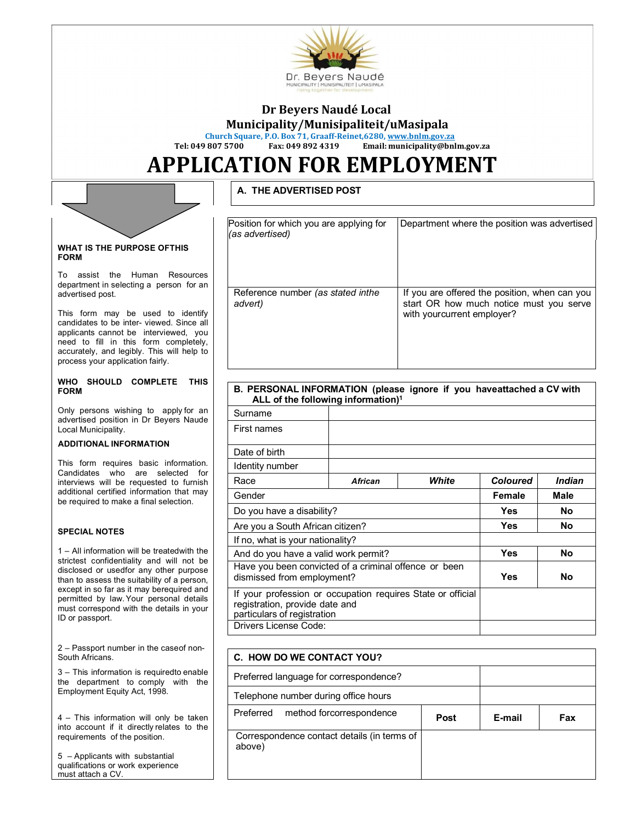

# **Dr Beyers Naudé Local**

**Municipality/Munisipaliteit/uMasipala** 

**Church Square, P.O. Box 71, Graaff-Reinet,6280, www.bnlm.gov.za**

**Tel: 049 807 5700 Fax: 049 892 4319 Email: municipality@bnlm.gov.za** 

# **APPLICATION FOR EMPLOYMENT**

## **A. THE ADVERTISED POST**

| Position for which you are applying for<br>(as advertised) | Department where the position was advertised                                                                           |
|------------------------------------------------------------|------------------------------------------------------------------------------------------------------------------------|
| Reference number (as stated inthe<br>advert)               | If you are offered the position, when can you<br>start OR how much notice must you serve<br>with yourcurrent employer? |

#### **B. PERSONAL INFORMATION (please ignore if you haveattached a CV with ALL of the following information)<sup>1</sup>**

|                                                                                                                                                                                                                                                                                          |  | <b>ALL OF THE TOHOWING INTOITMENTS</b>                                                                                       |                |             |                 |               |
|------------------------------------------------------------------------------------------------------------------------------------------------------------------------------------------------------------------------------------------------------------------------------------------|--|------------------------------------------------------------------------------------------------------------------------------|----------------|-------------|-----------------|---------------|
| Only persons wishing to apply for an<br>advertised position in Dr Beyers Naude                                                                                                                                                                                                           |  | Surname                                                                                                                      |                |             |                 |               |
| Local Municipality.                                                                                                                                                                                                                                                                      |  | First names                                                                                                                  |                |             |                 |               |
| <b>ADDITIONAL INFORMATION</b>                                                                                                                                                                                                                                                            |  |                                                                                                                              |                |             |                 |               |
|                                                                                                                                                                                                                                                                                          |  | Date of birth                                                                                                                |                |             |                 |               |
| This form requires basic information.<br>Candidates who are selected<br>for                                                                                                                                                                                                              |  | Identity number                                                                                                              |                |             |                 |               |
| interviews will be requested to furnish                                                                                                                                                                                                                                                  |  | Race                                                                                                                         | <b>African</b> | White       | <b>Coloured</b> | <b>Indian</b> |
| additional certified information that may<br>be required to make a final selection.                                                                                                                                                                                                      |  | Gender                                                                                                                       | Female         | <b>Male</b> |                 |               |
|                                                                                                                                                                                                                                                                                          |  | Do you have a disability?                                                                                                    | Yes            | <b>No</b>   |                 |               |
| <b>SPECIAL NOTES</b>                                                                                                                                                                                                                                                                     |  | Are you a South African citizen?                                                                                             | Yes.           | No          |                 |               |
|                                                                                                                                                                                                                                                                                          |  | If no, what is your nationality?                                                                                             |                |             |                 |               |
| 1 – All information will be treatedwith the                                                                                                                                                                                                                                              |  | And do you have a valid work permit?                                                                                         |                |             | Yes             | <b>No</b>     |
| strictest confidentiality and will not be<br>disclosed or usedfor any other purpose<br>than to assess the suitability of a person,<br>except in so far as it may berequired and<br>permitted by law Your personal details<br>must correspond with the details in your<br>ID or passport. |  | Have you been convicted of a criminal offence or been<br>dismissed from employment?                                          | <b>Yes</b>     | <b>No</b>   |                 |               |
|                                                                                                                                                                                                                                                                                          |  | If your profession or occupation requires State or official<br>registration, provide date and<br>particulars of registration |                |             |                 |               |
|                                                                                                                                                                                                                                                                                          |  | Drivers License Code:                                                                                                        |                |             |                 |               |
|                                                                                                                                                                                                                                                                                          |  |                                                                                                                              |                |             |                 |               |

| C. HOW DO WE CONTACT YOU?                                      |  |  |  |  |  |
|----------------------------------------------------------------|--|--|--|--|--|
| Preferred language for correspondence?                         |  |  |  |  |  |
| Telephone number during office hours                           |  |  |  |  |  |
| Preferred<br>method forcorrespondence<br>E-mail<br>Post<br>Fax |  |  |  |  |  |
| Correspondence contact details (in terms of<br>above)          |  |  |  |  |  |

WHAT IS THE PURPOSE OF THIS **FORM** 

To assist the Human Resources department in selecting a person for an advertised post.

This form may be used to identify candidates to be inter- viewed. Since all applicants cannot be interviewed, you need to fill in this form completely, accurately, and legibly. This will help to process your application fairly.

#### **WHO SHOULD COMPLETE THIS FORM**

### **ADDITIONAL INFORMATION**

2 – Passport number in the case of non-**South Africans.** 

3 – This information is required to enable the department to comply with the Employment Equity Act, 1998.

4 – This information will only be taken into account if it directly relates to the requirements of the position.

5 – Applicants with substantial qualifications or work experience must attach a CV.